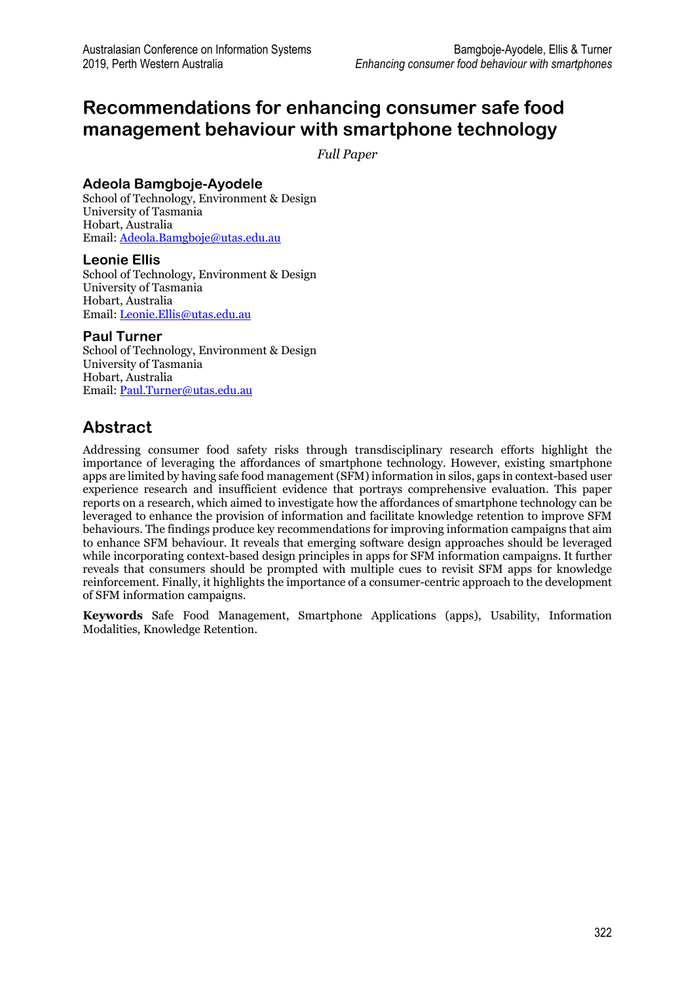# **Recommendations for enhancing consumer safe food management behaviour with smartphone technology**

*Full Paper*

#### **Adeola Bamgboje-Ayodele**

School of Technology, Environment & Design University of Tasmania Hobart, Australia Email[: Adeola.Bamgboje@utas.edu.au](mailto:Adeola.Bamgboje@utas.edu.au)

#### **Leonie Ellis**

School of Technology, Environment & Design University of Tasmania Hobart, Australia Email[: Leonie.Ellis@utas.edu.au](mailto:Leonie.Ellis@utas.edu.au)

#### **Paul Turner**

School of Technology, Environment & Design University of Tasmania Hobart, Australia Email[: Paul.Turner@utas.edu.au](mailto:Paul.Turner@utas.edu.au)

## **Abstract**

Addressing consumer food safety risks through transdisciplinary research efforts highlight the importance of leveraging the affordances of smartphone technology. However, existing smartphone apps are limited by having safe food management (SFM) information in silos, gaps in context-based user experience research and insufficient evidence that portrays comprehensive evaluation. This paper reports on a research, which aimed to investigate how the affordances of smartphone technology can be leveraged to enhance the provision of information and facilitate knowledge retention to improve SFM behaviours. The findings produce key recommendations for improving information campaigns that aim to enhance SFM behaviour. It reveals that emerging software design approaches should be leveraged while incorporating context-based design principles in apps for SFM information campaigns. It further reveals that consumers should be prompted with multiple cues to revisit SFM apps for knowledge reinforcement. Finally, it highlights the importance of a consumer-centric approach to the development of SFM information campaigns.

**Keywords** Safe Food Management, Smartphone Applications (apps), Usability, Information Modalities, Knowledge Retention.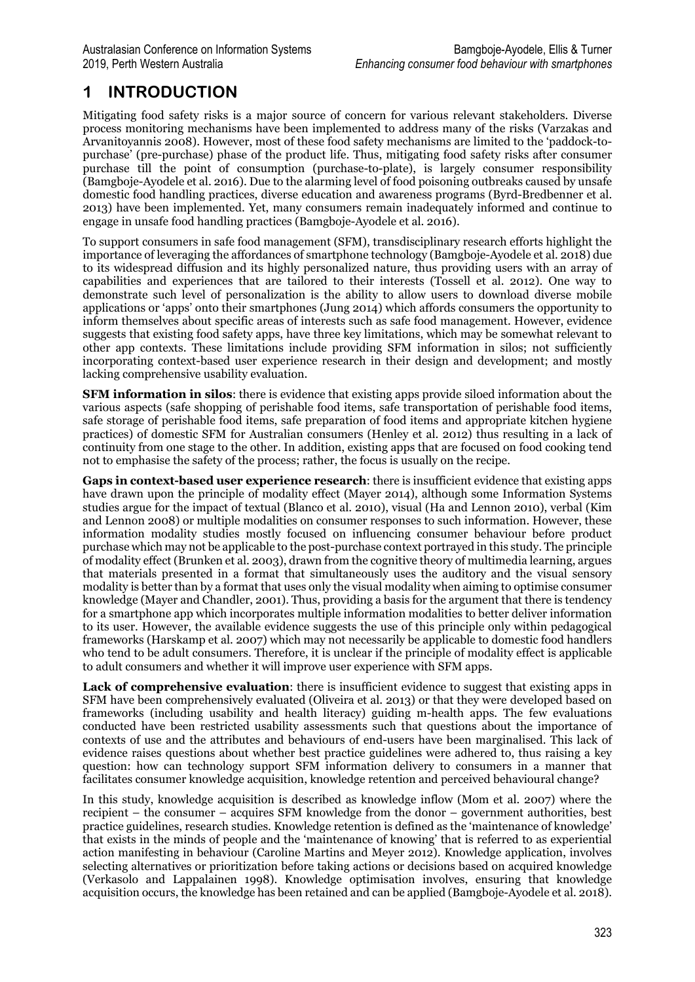# **1 INTRODUCTION**

Mitigating food safety risks is a major source of concern for various relevant stakeholders. Diverse process monitoring mechanisms have been implemented to address many of the risks (Varzakas and Arvanitoyannis 2008). However, most of these food safety mechanisms are limited to the 'paddock-topurchase' (pre-purchase) phase of the product life. Thus, mitigating food safety risks after consumer purchase till the point of consumption (purchase-to-plate), is largely consumer responsibility (Bamgboje-Ayodele et al. 2016). Due to the alarming level of food poisoning outbreaks caused by unsafe domestic food handling practices, diverse education and awareness programs (Byrd-Bredbenner et al. 2013) have been implemented. Yet, many consumers remain inadequately informed and continue to engage in unsafe food handling practices (Bamgboje-Ayodele et al. 2016).

To support consumers in safe food management (SFM), transdisciplinary research efforts highlight the importance of leveraging the affordances of smartphone technology (Bamgboje-Ayodele et al. 2018) due to its widespread diffusion and its highly personalized nature, thus providing users with an array of capabilities and experiences that are tailored to their interests (Tossell et al. 2012). One way to demonstrate such level of personalization is the ability to allow users to download diverse mobile applications or 'apps' onto their smartphones (Jung 2014) which affords consumers the opportunity to inform themselves about specific areas of interests such as safe food management. However, evidence suggests that existing food safety apps, have three key limitations, which may be somewhat relevant to other app contexts. These limitations include providing SFM information in silos; not sufficiently incorporating context-based user experience research in their design and development; and mostly lacking comprehensive usability evaluation.

**SFM information in silos**: there is evidence that existing apps provide siloed information about the various aspects (safe shopping of perishable food items, safe transportation of perishable food items, safe storage of perishable food items, safe preparation of food items and appropriate kitchen hygiene practices) of domestic SFM for Australian consumers (Henley et al. 2012) thus resulting in a lack of continuity from one stage to the other. In addition, existing apps that are focused on food cooking tend not to emphasise the safety of the process; rather, the focus is usually on the recipe.

**Gaps in context-based user experience research**: there is insufficient evidence that existing apps have drawn upon the principle of modality effect (Mayer 2014), although some Information Systems studies argue for the impact of textual (Blanco et al. 2010), visual (Ha and Lennon 2010), verbal (Kim and Lennon 2008) or multiple modalities on consumer responses to such information. However, these information modality studies mostly focused on influencing consumer behaviour before product purchase which may not be applicable to the post-purchase context portrayed in this study. The principle of modality effect (Brunken et al. 2003), drawn from the cognitive theory of multimedia learning, argues that materials presented in a format that simultaneously uses the auditory and the visual sensory modality is better than by a format that uses only the visual modality when aiming to optimise consumer knowledge (Mayer and Chandler, 2001). Thus, providing a basis for the argument that there is tendency for a smartphone app which incorporates multiple information modalities to better deliver information to its user. However, the available evidence suggests the use of this principle only within pedagogical frameworks (Harskamp et al. 2007) which may not necessarily be applicable to domestic food handlers who tend to be adult consumers. Therefore, it is unclear if the principle of modality effect is applicable to adult consumers and whether it will improve user experience with SFM apps.

**Lack of comprehensive evaluation**: there is insufficient evidence to suggest that existing apps in SFM have been comprehensively evaluated (Oliveira et al. 2013) or that they were developed based on frameworks (including usability and health literacy) guiding m-health apps. The few evaluations conducted have been restricted usability assessments such that questions about the importance of contexts of use and the attributes and behaviours of end-users have been marginalised. This lack of evidence raises questions about whether best practice guidelines were adhered to, thus raising a key question: how can technology support SFM information delivery to consumers in a manner that facilitates consumer knowledge acquisition, knowledge retention and perceived behavioural change?

In this study, knowledge acquisition is described as knowledge inflow (Mom et al. 2007) where the recipient – the consumer – acquires SFM knowledge from the donor – government authorities, best practice guidelines, research studies. Knowledge retention is defined as the 'maintenance of knowledge' that exists in the minds of people and the 'maintenance of knowing' that is referred to as experiential action manifesting in behaviour (Caroline Martins and Meyer 2012). Knowledge application, involves selecting alternatives or prioritization before taking actions or decisions based on acquired knowledge (Verkasolo and Lappalainen 1998). Knowledge optimisation involves, ensuring that knowledge acquisition occurs, the knowledge has been retained and can be applied (Bamgboje-Ayodele et al. 2018).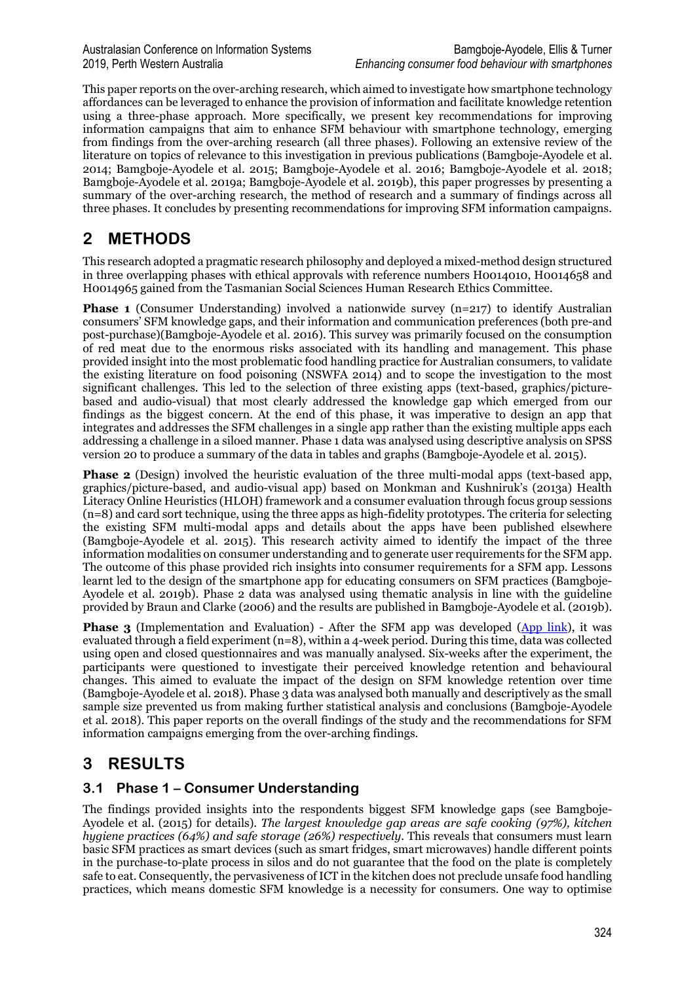This paper reports on the over-arching research, which aimed to investigate how smartphone technology affordances can be leveraged to enhance the provision of information and facilitate knowledge retention using a three-phase approach. More specifically, we present key recommendations for improving information campaigns that aim to enhance SFM behaviour with smartphone technology, emerging from findings from the over-arching research (all three phases). Following an extensive review of the literature on topics of relevance to this investigation in previous publications (Bamgboje-Ayodele et al. 2014; Bamgboje-Ayodele et al. 2015; Bamgboje-Ayodele et al. 2016; Bamgboje-Ayodele et al. 2018; Bamgboje-Ayodele et al. 2019a; Bamgboje-Ayodele et al. 2019b), this paper progresses by presenting a summary of the over-arching research, the method of research and a summary of findings across all three phases. It concludes by presenting recommendations for improving SFM information campaigns.

# **2 METHODS**

This research adopted a pragmatic research philosophy and deployed a mixed-method design structured in three overlapping phases with ethical approvals with reference numbers H0014010, H0014658 and H0014965 gained from the Tasmanian Social Sciences Human Research Ethics Committee.

**Phase 1** (Consumer Understanding) involved a nationwide survey (n=217) to identify Australian consumers' SFM knowledge gaps, and their information and communication preferences (both pre-and post-purchase)(Bamgboje-Ayodele et al. 2016). This survey was primarily focused on the consumption of red meat due to the enormous risks associated with its handling and management. This phase provided insight into the most problematic food handling practice for Australian consumers, to validate the existing literature on food poisoning (NSWFA 2014) and to scope the investigation to the most significant challenges. This led to the selection of three existing apps (text-based, graphics/picturebased and audio-visual) that most clearly addressed the knowledge gap which emerged from our findings as the biggest concern. At the end of this phase, it was imperative to design an app that integrates and addresses the SFM challenges in a single app rather than the existing multiple apps each addressing a challenge in a siloed manner. Phase 1 data was analysed using descriptive analysis on SPSS version 20 to produce a summary of the data in tables and graphs (Bamgboje-Ayodele et al. 2015).

**Phase 2** (Design) involved the heuristic evaluation of the three multi-modal apps (text-based app, graphics/picture-based, and audio-visual app) based on Monkman and Kushniruk's (2013a) Health Literacy Online Heuristics (HLOH) framework and a consumer evaluation through focus group sessions (n=8) and card sort technique, using the three apps as high-fidelity prototypes. The criteria for selecting the existing SFM multi-modal apps and details about the apps have been published elsewhere (Bamgboje-Ayodele et al. 2015). This research activity aimed to identify the impact of the three information modalities on consumer understanding and to generate user requirements for the SFM app. The outcome of this phase provided rich insights into consumer requirements for a SFM app. Lessons learnt led to the design of the smartphone app for educating consumers on SFM practices (Bamgboje-Ayodele et al. 2019b). Phase 2 data was analysed using thematic analysis in line with the guideline provided by Braun and Clarke (2006) and the results are published in Bamgboje-Ayodele et al. (2019b).

**Phase 3** (Implementation and Evaluation) - After the SFM app was developed [\(App link\)](https://play.google.com/store/apps/details?id=com.adeola.tams&hl=en), it was evaluated through a field experiment (n=8), within a 4-week period. During this time, data was collected using open and closed questionnaires and was manually analysed. Six-weeks after the experiment, the participants were questioned to investigate their perceived knowledge retention and behavioural changes. This aimed to evaluate the impact of the design on SFM knowledge retention over time (Bamgboje-Ayodele et al. 2018). Phase 3 data was analysed both manually and descriptively as the small sample size prevented us from making further statistical analysis and conclusions (Bamgboje-Ayodele et al. 2018). This paper reports on the overall findings of the study and the recommendations for SFM information campaigns emerging from the over-arching findings.

## **3 RESULTS**

#### **3.1 Phase 1 – Consumer Understanding**

The findings provided insights into the respondents biggest SFM knowledge gaps (see Bamgboje-Ayodele et al. (2015) for details). *The largest knowledge gap areas are safe cooking (97%), kitchen hygiene practices (64%) and safe storage (26%) respectively*. This reveals that consumers must learn basic SFM practices as smart devices (such as smart fridges, smart microwaves) handle different points in the purchase-to-plate process in silos and do not guarantee that the food on the plate is completely safe to eat. Consequently, the pervasiveness of ICT in the kitchen does not preclude unsafe food handling practices, which means domestic SFM knowledge is a necessity for consumers. One way to optimise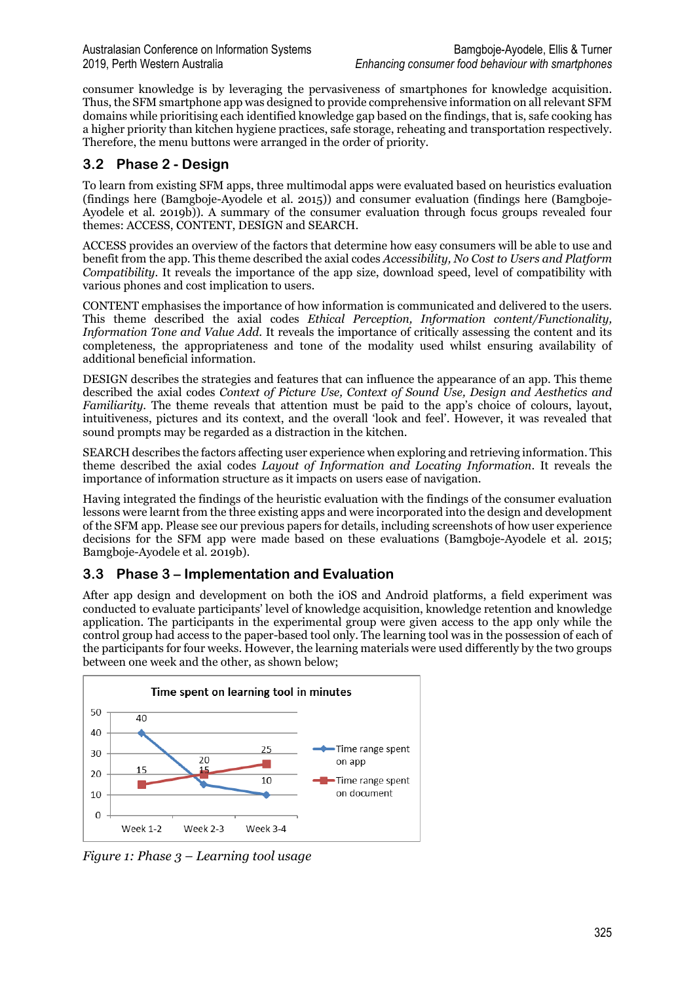consumer knowledge is by leveraging the pervasiveness of smartphones for knowledge acquisition. Thus, the SFM smartphone app was designed to provide comprehensive information on all relevant SFM domains while prioritising each identified knowledge gap based on the findings, that is, safe cooking has a higher priority than kitchen hygiene practices, safe storage, reheating and transportation respectively. Therefore, the menu buttons were arranged in the order of priority.

### **3.2 Phase 2 - Design**

To learn from existing SFM apps, three multimodal apps were evaluated based on heuristics evaluation (findings here (Bamgboje-Ayodele et al. 2015)) and consumer evaluation (findings here (Bamgboje-Ayodele et al. 2019b)). A summary of the consumer evaluation through focus groups revealed four themes: ACCESS, CONTENT, DESIGN and SEARCH.

ACCESS provides an overview of the factors that determine how easy consumers will be able to use and benefit from the app. This theme described the axial codes *Accessibility, No Cost to Users and Platform Compatibility*. It reveals the importance of the app size, download speed, level of compatibility with various phones and cost implication to users.

CONTENT emphasises the importance of how information is communicated and delivered to the users. This theme described the axial codes *Ethical Perception, Information content/Functionality, Information Tone and Value Add*. It reveals the importance of critically assessing the content and its completeness, the appropriateness and tone of the modality used whilst ensuring availability of additional beneficial information.

DESIGN describes the strategies and features that can influence the appearance of an app. This theme described the axial codes *Context of Picture Use, Context of Sound Use, Design and Aesthetics and Familiarity*. The theme reveals that attention must be paid to the app's choice of colours, layout, intuitiveness, pictures and its context, and the overall 'look and feel'. However, it was revealed that sound prompts may be regarded as a distraction in the kitchen.

SEARCH describes the factors affecting user experience when exploring and retrieving information. This theme described the axial codes *Layout of Information and Locating Information*. It reveals the importance of information structure as it impacts on users ease of navigation.

Having integrated the findings of the heuristic evaluation with the findings of the consumer evaluation lessons were learnt from the three existing apps and were incorporated into the design and development of the SFM app. Please see our previous papers for details, including screenshots of how user experience decisions for the SFM app were made based on these evaluations (Bamgboje-Ayodele et al. 2015; Bamgboje-Ayodele et al. 2019b).

#### **3.3 Phase 3 – Implementation and Evaluation**

After app design and development on both the iOS and Android platforms, a field experiment was conducted to evaluate participants' level of knowledge acquisition, knowledge retention and knowledge application. The participants in the experimental group were given access to the app only while the control group had access to the paper-based tool only. The learning tool was in the possession of each of the participants for four weeks. However, the learning materials were used differently by the two groups between one week and the other, as shown below;



*Figure 1: Phase 3 – Learning tool usage*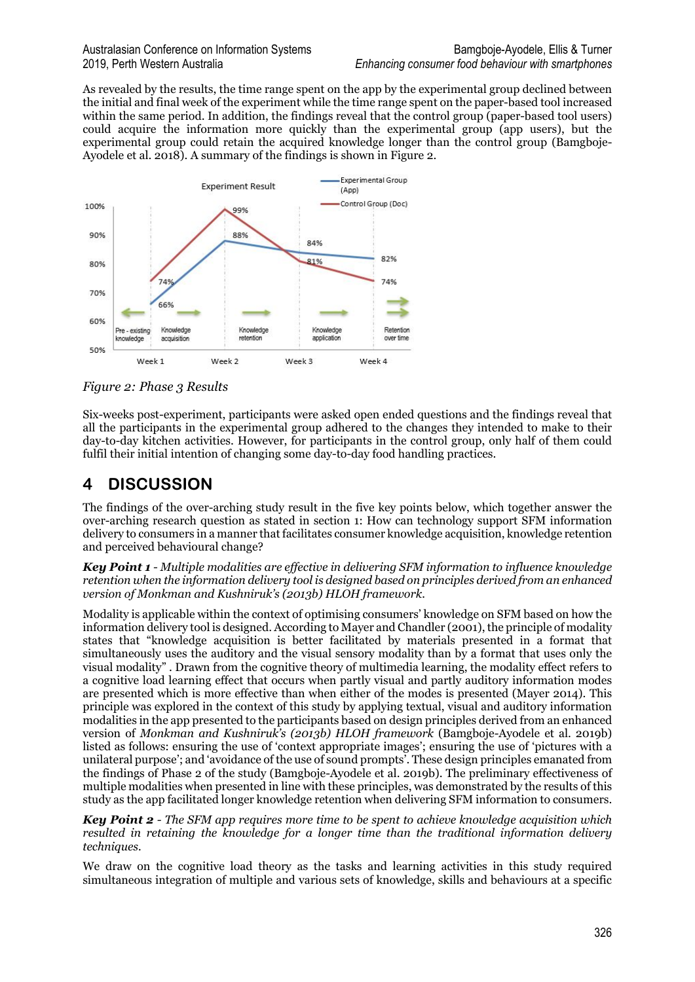As revealed by the results, the time range spent on the app by the experimental group declined between the initial and final week of the experiment while the time range spent on the paper-based tool increased within the same period. In addition, the findings reveal that the control group (paper-based tool users) could acquire the information more quickly than the experimental group (app users), but the experimental group could retain the acquired knowledge longer than the control group (Bamgboje-Ayodele et al. 2018). A summary of the findings is shown in Figure 2.



*Figure 2: Phase 3 Results*

Six-weeks post-experiment, participants were asked open ended questions and the findings reveal that all the participants in the experimental group adhered to the changes they intended to make to their day-to-day kitchen activities. However, for participants in the control group, only half of them could fulfil their initial intention of changing some day-to-day food handling practices.

# **4 DISCUSSION**

The findings of the over-arching study result in the five key points below, which together answer the over-arching research question as stated in section 1: How can technology support SFM information delivery to consumers in a manner that facilitates consumer knowledge acquisition, knowledge retention and perceived behavioural change?

*Key Point 1 - Multiple modalities are effective in delivering SFM information to influence knowledge retention when the information delivery tool is designed based on principles derived from an enhanced version of Monkman and Kushniruk's (2013b) HLOH framework.*

Modality is applicable within the context of optimising consumers' knowledge on SFM based on how the information delivery tool is designed. According to Mayer and Chandler (2001), the principle of modality states that "knowledge acquisition is better facilitated by materials presented in a format that simultaneously uses the auditory and the visual sensory modality than by a format that uses only the visual modality" . Drawn from the cognitive theory of multimedia learning, the modality effect refers to a cognitive load learning effect that occurs when partly visual and partly auditory information modes are presented which is more effective than when either of the modes is presented (Mayer 2014). This principle was explored in the context of this study by applying textual, visual and auditory information modalities in the app presented to the participants based on design principles derived from an enhanced version of *Monkman and Kushniruk's (2013b) HLOH framework* (Bamgboje-Ayodele et al. 2019b) listed as follows: ensuring the use of 'context appropriate images'; ensuring the use of 'pictures with a unilateral purpose'; and 'avoidance of the use of sound prompts'. These design principles emanated from the findings of Phase 2 of the study (Bamgboje-Ayodele et al. 2019b). The preliminary effectiveness of multiple modalities when presented in line with these principles, was demonstrated by the results of this study as the app facilitated longer knowledge retention when delivering SFM information to consumers.

*Key Point 2 - The SFM app requires more time to be spent to achieve knowledge acquisition which resulted in retaining the knowledge for a longer time than the traditional information delivery techniques.*

We draw on the cognitive load theory as the tasks and learning activities in this study required simultaneous integration of multiple and various sets of knowledge, skills and behaviours at a specific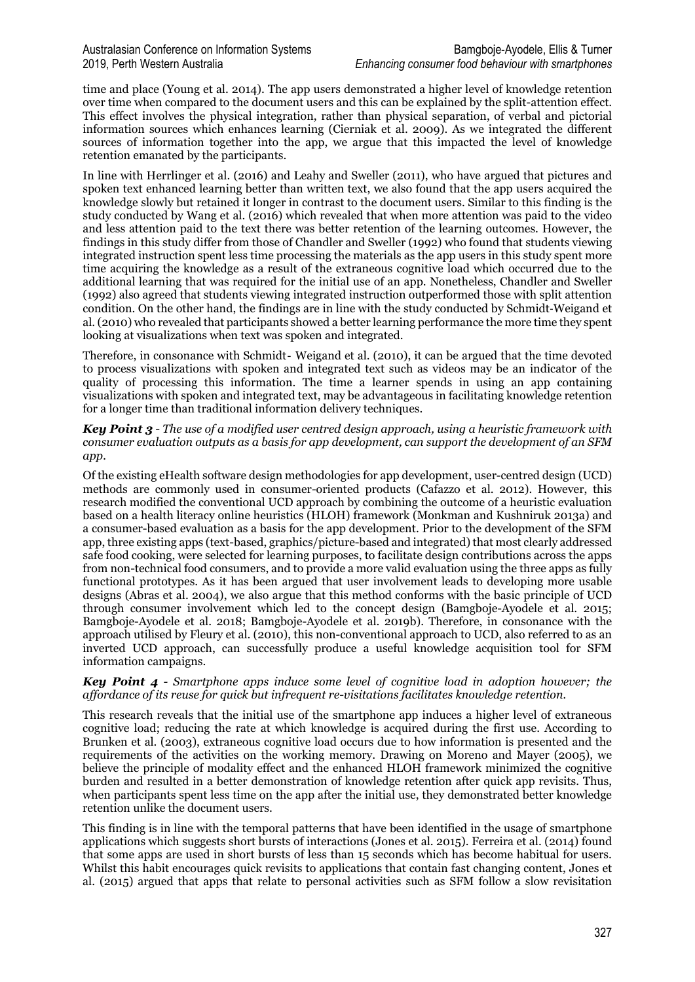time and place (Young et al. 2014). The app users demonstrated a higher level of knowledge retention over time when compared to the document users and this can be explained by the split-attention effect. This effect involves the physical integration, rather than physical separation, of verbal and pictorial information sources which enhances learning (Cierniak et al. 2009). As we integrated the different sources of information together into the app, we argue that this impacted the level of knowledge retention emanated by the participants.

In line with Herrlinger et al. (2016) and Leahy and Sweller (2011), who have argued that pictures and spoken text enhanced learning better than written text, we also found that the app users acquired the knowledge slowly but retained it longer in contrast to the document users. Similar to this finding is the study conducted by Wang et al. (2016) which revealed that when more attention was paid to the video and less attention paid to the text there was better retention of the learning outcomes. However, the findings in this study differ from those of Chandler and Sweller (1992) who found that students viewing integrated instruction spent less time processing the materials as the app users in this study spent more time acquiring the knowledge as a result of the extraneous cognitive load which occurred due to the additional learning that was required for the initial use of an app. Nonetheless, Chandler and Sweller (1992) also agreed that students viewing integrated instruction outperformed those with split attention condition. On the other hand, the findings are in line with the study conducted by Schmidt‐Weigand et al. (2010) who revealed that participants showed a better learning performance the more time they spent looking at visualizations when text was spoken and integrated.

Therefore, in consonance with Schmidt - Weigand et al. (2010), it can be argued that the time devoted to process visualizations with spoken and integrated text such as videos may be an indicator of the quality of processing this information. The time a learner spends in using an app containing visualizations with spoken and integrated text, may be advantageous in facilitating knowledge retention for a longer time than traditional information delivery techniques.

*Key Point 3 - The use of a modified user centred design approach, using a heuristic framework with consumer evaluation outputs as a basis for app development, can support the development of an SFM app.*

Of the existing eHealth software design methodologies for app development, user-centred design (UCD) methods are commonly used in consumer-oriented products (Cafazzo et al. 2012). However, this research modified the conventional UCD approach by combining the outcome of a heuristic evaluation based on a health literacy online heuristics (HLOH) framework (Monkman and Kushniruk 2013a) and a consumer-based evaluation as a basis for the app development. Prior to the development of the SFM app, three existing apps (text-based, graphics/picture-based and integrated) that most clearly addressed safe food cooking, were selected for learning purposes, to facilitate design contributions across the apps from non-technical food consumers, and to provide a more valid evaluation using the three apps as fully functional prototypes. As it has been argued that user involvement leads to developing more usable designs (Abras et al. 2004), we also argue that this method conforms with the basic principle of UCD through consumer involvement which led to the concept design (Bamgboje-Ayodele et al. 2015; Bamgboje-Ayodele et al. 2018; Bamgboje-Ayodele et al. 2019b). Therefore, in consonance with the approach utilised by Fleury et al. (2010), this non-conventional approach to UCD, also referred to as an inverted UCD approach, can successfully produce a useful knowledge acquisition tool for SFM information campaigns.

#### *Key Point 4 - Smartphone apps induce some level of cognitive load in adoption however; the affordance of its reuse for quick but infrequent re-visitations facilitates knowledge retention.*

This research reveals that the initial use of the smartphone app induces a higher level of extraneous cognitive load; reducing the rate at which knowledge is acquired during the first use. According to Brunken et al. (2003), extraneous cognitive load occurs due to how information is presented and the requirements of the activities on the working memory. Drawing on Moreno and Mayer (2005), we believe the principle of modality effect and the enhanced HLOH framework minimized the cognitive burden and resulted in a better demonstration of knowledge retention after quick app revisits. Thus, when participants spent less time on the app after the initial use, they demonstrated better knowledge retention unlike the document users.

This finding is in line with the temporal patterns that have been identified in the usage of smartphone applications which suggests short bursts of interactions (Jones et al. 2015). Ferreira et al. (2014) found that some apps are used in short bursts of less than 15 seconds which has become habitual for users. Whilst this habit encourages quick revisits to applications that contain fast changing content, Jones et al. (2015) argued that apps that relate to personal activities such as SFM follow a slow revisitation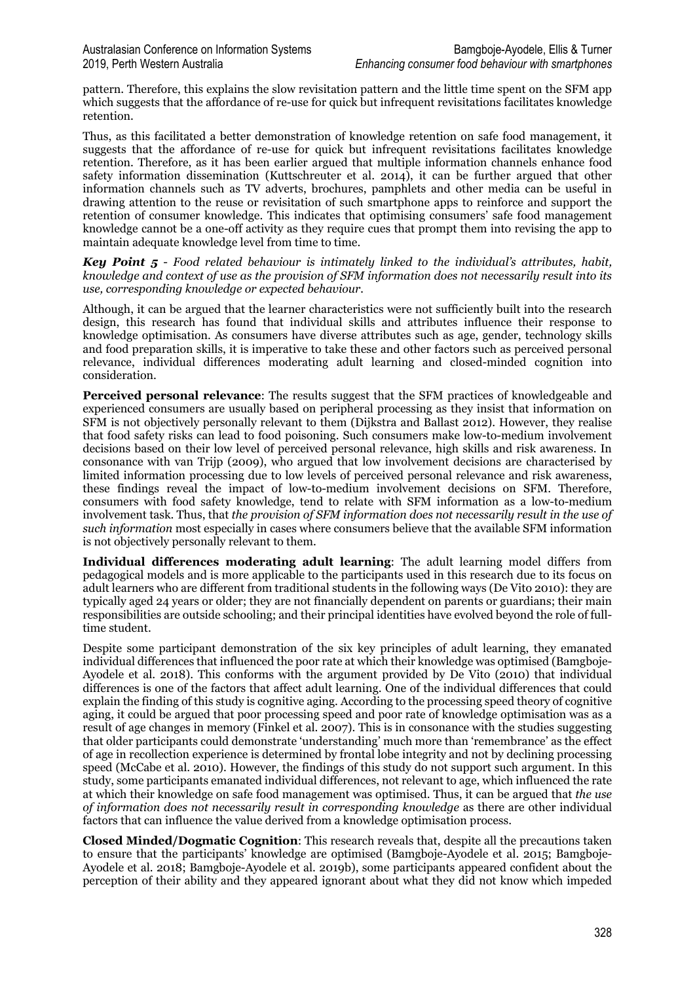pattern. Therefore, this explains the slow revisitation pattern and the little time spent on the SFM app which suggests that the affordance of re-use for quick but infrequent revisitations facilitates knowledge retention.

Thus, as this facilitated a better demonstration of knowledge retention on safe food management, it suggests that the affordance of re-use for quick but infrequent revisitations facilitates knowledge retention. Therefore, as it has been earlier argued that multiple information channels enhance food safety information dissemination (Kuttschreuter et al. 2014), it can be further argued that other information channels such as TV adverts, brochures, pamphlets and other media can be useful in drawing attention to the reuse or revisitation of such smartphone apps to reinforce and support the retention of consumer knowledge. This indicates that optimising consumers' safe food management knowledge cannot be a one-off activity as they require cues that prompt them into revising the app to maintain adequate knowledge level from time to time.

*Key Point 5* - *Food related behaviour is intimately linked to the individual's attributes, habit, knowledge and context of use as the provision of SFM information does not necessarily result into its use, corresponding knowledge or expected behaviour.*

Although, it can be argued that the learner characteristics were not sufficiently built into the research design, this research has found that individual skills and attributes influence their response to knowledge optimisation. As consumers have diverse attributes such as age, gender, technology skills and food preparation skills, it is imperative to take these and other factors such as perceived personal relevance, individual differences moderating adult learning and closed-minded cognition into consideration.

**Perceived personal relevance**: The results suggest that the SFM practices of knowledgeable and experienced consumers are usually based on peripheral processing as they insist that information on SFM is not objectively personally relevant to them (Dijkstra and Ballast 2012). However, they realise that food safety risks can lead to food poisoning. Such consumers make low-to-medium involvement decisions based on their low level of perceived personal relevance, high skills and risk awareness. In consonance with van Trijp (2009), who argued that low involvement decisions are characterised by limited information processing due to low levels of perceived personal relevance and risk awareness, these findings reveal the impact of low-to-medium involvement decisions on SFM. Therefore, consumers with food safety knowledge, tend to relate with SFM information as a low-to-medium involvement task. Thus, that *the provision of SFM information does not necessarily result in the use of such information* most especially in cases where consumers believe that the available SFM information is not objectively personally relevant to them.

**Individual differences moderating adult learning**: The adult learning model differs from pedagogical models and is more applicable to the participants used in this research due to its focus on adult learners who are different from traditional students in the following ways (De Vito 2010): they are typically aged 24 years or older; they are not financially dependent on parents or guardians; their main responsibilities are outside schooling; and their principal identities have evolved beyond the role of fulltime student.

Despite some participant demonstration of the six key principles of adult learning, they emanated individual differences that influenced the poor rate at which their knowledge was optimised (Bamgboje-Ayodele et al. 2018). This conforms with the argument provided by De Vito (2010) that individual differences is one of the factors that affect adult learning. One of the individual differences that could explain the finding of this study is cognitive aging. According to the processing speed theory of cognitive aging, it could be argued that poor processing speed and poor rate of knowledge optimisation was as a result of age changes in memory (Finkel et al. 2007). This is in consonance with the studies suggesting that older participants could demonstrate 'understanding' much more than 'remembrance' as the effect of age in recollection experience is determined by frontal lobe integrity and not by declining processing speed (McCabe et al. 2010). However, the findings of this study do not support such argument. In this study, some participants emanated individual differences, not relevant to age, which influenced the rate at which their knowledge on safe food management was optimised. Thus, it can be argued that *the use of information does not necessarily result in corresponding knowledge* as there are other individual factors that can influence the value derived from a knowledge optimisation process.

**Closed Minded/Dogmatic Cognition**: This research reveals that, despite all the precautions taken to ensure that the participants' knowledge are optimised (Bamgboje-Ayodele et al. 2015; Bamgboje-Ayodele et al. 2018; Bamgboje-Ayodele et al. 2019b), some participants appeared confident about the perception of their ability and they appeared ignorant about what they did not know which impeded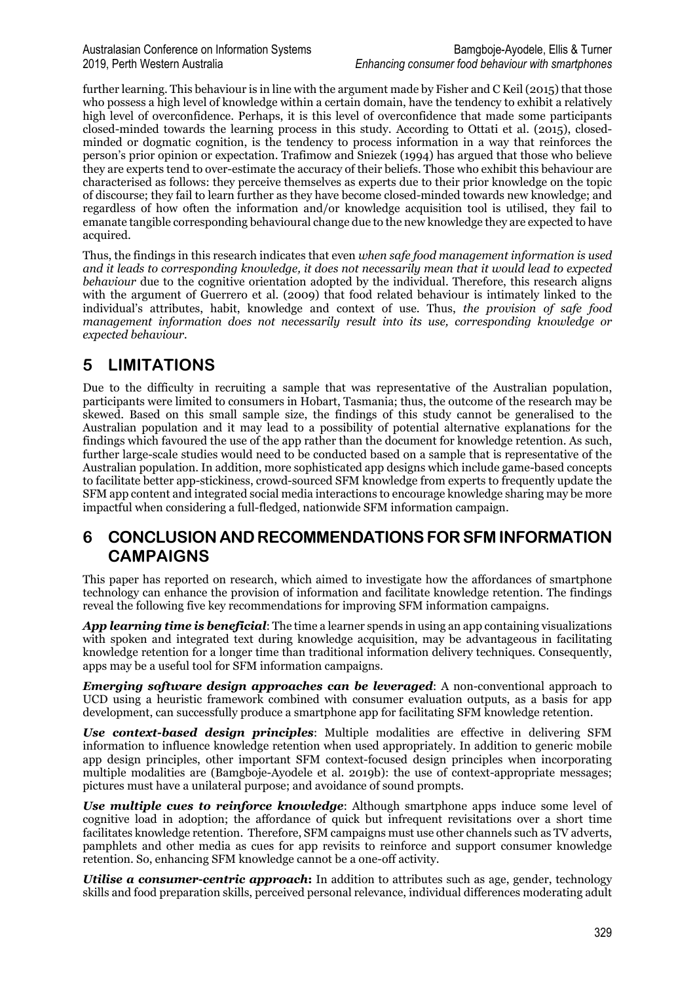further learning. This behaviour is in line with the argument made by Fisher and C Keil (2015) that those who possess a high level of knowledge within a certain domain, have the tendency to exhibit a relatively high level of overconfidence. Perhaps, it is this level of overconfidence that made some participants closed-minded towards the learning process in this study. According to Ottati et al. (2015), closedminded or dogmatic cognition, is the tendency to process information in a way that reinforces the person's prior opinion or expectation. Trafimow and Sniezek (1994) has argued that those who believe they are experts tend to over-estimate the accuracy of their beliefs. Those who exhibit this behaviour are characterised as follows: they perceive themselves as experts due to their prior knowledge on the topic of discourse; they fail to learn further as they have become closed-minded towards new knowledge; and regardless of how often the information and/or knowledge acquisition tool is utilised, they fail to emanate tangible corresponding behavioural change due to the new knowledge they are expected to have acquired.

Thus, the findings in this research indicates that even *when safe food management information is used and it leads to corresponding knowledge, it does not necessarily mean that it would lead to expected behaviour* due to the cognitive orientation adopted by the individual. Therefore, this research aligns with the argument of Guerrero et al. (2009) that food related behaviour is intimately linked to the individual's attributes, habit, knowledge and context of use. Thus, *the provision of safe food management information does not necessarily result into its use, corresponding knowledge or expected behaviour.*

## **5 LIMITATIONS**

Due to the difficulty in recruiting a sample that was representative of the Australian population, participants were limited to consumers in Hobart, Tasmania; thus, the outcome of the research may be skewed. Based on this small sample size, the findings of this study cannot be generalised to the Australian population and it may lead to a possibility of potential alternative explanations for the findings which favoured the use of the app rather than the document for knowledge retention. As such, further large-scale studies would need to be conducted based on a sample that is representative of the Australian population. In addition, more sophisticated app designs which include game-based concepts to facilitate better app-stickiness, crowd-sourced SFM knowledge from experts to frequently update the SFM app content and integrated social media interactions to encourage knowledge sharing may be more impactful when considering a full-fledged, nationwide SFM information campaign.

## **6 CONCLUSION AND RECOMMENDATIONS FOR SFM INFORMATION CAMPAIGNS**

This paper has reported on research, which aimed to investigate how the affordances of smartphone technology can enhance the provision of information and facilitate knowledge retention. The findings reveal the following five key recommendations for improving SFM information campaigns.

*App learning time is beneficial*: The time a learner spends in using an app containing visualizations with spoken and integrated text during knowledge acquisition, may be advantageous in facilitating knowledge retention for a longer time than traditional information delivery techniques. Consequently, apps may be a useful tool for SFM information campaigns.

*Emerging software design approaches can be leveraged*: A non-conventional approach to UCD using a heuristic framework combined with consumer evaluation outputs, as a basis for app development, can successfully produce a smartphone app for facilitating SFM knowledge retention.

*Use context-based design principles*: Multiple modalities are effective in delivering SFM information to influence knowledge retention when used appropriately. In addition to generic mobile app design principles, other important SFM context-focused design principles when incorporating multiple modalities are (Bamgboje-Ayodele et al. 2019b): the use of context-appropriate messages; pictures must have a unilateral purpose; and avoidance of sound prompts.

*Use multiple cues to reinforce knowledge*: Although smartphone apps induce some level of cognitive load in adoption; the affordance of quick but infrequent revisitations over a short time facilitates knowledge retention. Therefore, SFM campaigns must use other channels such as TV adverts, pamphlets and other media as cues for app revisits to reinforce and support consumer knowledge retention. So, enhancing SFM knowledge cannot be a one-off activity.

*Utilise a consumer-centric approach***:** In addition to attributes such as age, gender, technology skills and food preparation skills, perceived personal relevance, individual differences moderating adult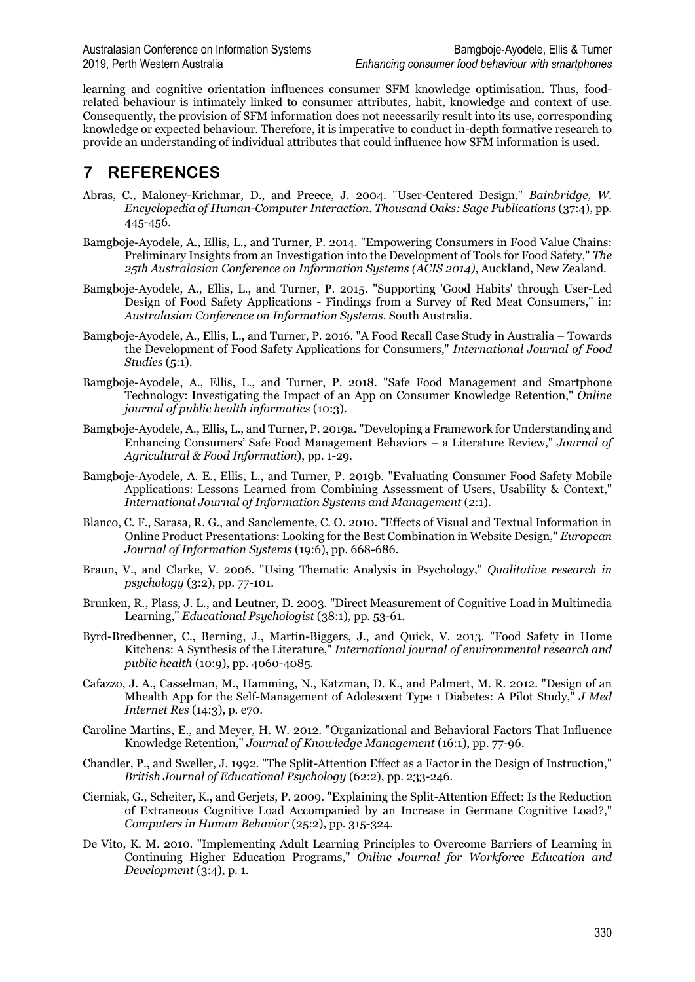learning and cognitive orientation influences consumer SFM knowledge optimisation. Thus, foodrelated behaviour is intimately linked to consumer attributes, habit, knowledge and context of use. Consequently, the provision of SFM information does not necessarily result into its use, corresponding knowledge or expected behaviour. Therefore, it is imperative to conduct in-depth formative research to provide an understanding of individual attributes that could influence how SFM information is used.

## **7 REFERENCES**

- Abras, C., Maloney-Krichmar, D., and Preece, J. 2004. "User-Centered Design," *Bainbridge, W. Encyclopedia of Human-Computer Interaction. Thousand Oaks: Sage Publications* (37:4), pp. 445-456.
- Bamgboje-Ayodele, A., Ellis, L., and Turner, P. 2014. "Empowering Consumers in Food Value Chains: Preliminary Insights from an Investigation into the Development of Tools for Food Safety," *The 25th Australasian Conference on Information Systems (ACIS 2014)*, Auckland, New Zealand.
- Bamgboje-Ayodele, A., Ellis, L., and Turner, P. 2015. "Supporting 'Good Habits' through User-Led Design of Food Safety Applications - Findings from a Survey of Red Meat Consumers," in: *Australasian Conference on Information Systems*. South Australia.
- Bamgboje-Ayodele, A., Ellis, L., and Turner, P. 2016. "A Food Recall Case Study in Australia Towards the Development of Food Safety Applications for Consumers," *International Journal of Food Studies* (5:1).
- Bamgboje-Ayodele, A., Ellis, L., and Turner, P. 2018. "Safe Food Management and Smartphone Technology: Investigating the Impact of an App on Consumer Knowledge Retention," *Online journal of public health informatics* (10:3).
- Bamgboje-Ayodele, A., Ellis, L., and Turner, P. 2019a. "Developing a Framework for Understanding and Enhancing Consumers' Safe Food Management Behaviors – a Literature Review," *Journal of Agricultural & Food Information*), pp. 1-29.
- Bamgboje-Ayodele, A. E., Ellis, L., and Turner, P. 2019b. "Evaluating Consumer Food Safety Mobile Applications: Lessons Learned from Combining Assessment of Users, Usability & Context," *International Journal of Information Systems and Management* (2:1).
- Blanco, C. F., Sarasa, R. G., and Sanclemente, C. O. 2010. "Effects of Visual and Textual Information in Online Product Presentations: Looking for the Best Combination in Website Design," *European Journal of Information Systems* (19:6), pp. 668-686.
- Braun, V., and Clarke, V. 2006. "Using Thematic Analysis in Psychology," *Qualitative research in psychology* (3:2), pp. 77-101.
- Brunken, R., Plass, J. L., and Leutner, D. 2003. "Direct Measurement of Cognitive Load in Multimedia Learning," *Educational Psychologist* (38:1), pp. 53-61.
- Byrd-Bredbenner, C., Berning, J., Martin-Biggers, J., and Quick, V. 2013. "Food Safety in Home Kitchens: A Synthesis of the Literature," *International journal of environmental research and public health* (10:9), pp. 4060-4085.
- Cafazzo, J. A., Casselman, M., Hamming, N., Katzman, D. K., and Palmert, M. R. 2012. "Design of an Mhealth App for the Self-Management of Adolescent Type 1 Diabetes: A Pilot Study," *J Med Internet Res* (14:3), p. e70.
- Caroline Martins, E., and Meyer, H. W. 2012. "Organizational and Behavioral Factors That Influence Knowledge Retention," *Journal of Knowledge Management* (16:1), pp. 77-96.
- Chandler, P., and Sweller, J. 1992. "The Split-Attention Effect as a Factor in the Design of Instruction," *British Journal of Educational Psychology* (62:2), pp. 233-246.
- Cierniak, G., Scheiter, K., and Gerjets, P. 2009. "Explaining the Split-Attention Effect: Is the Reduction of Extraneous Cognitive Load Accompanied by an Increase in Germane Cognitive Load?," *Computers in Human Behavior* (25:2), pp. 315-324.
- De Vito, K. M. 2010. "Implementing Adult Learning Principles to Overcome Barriers of Learning in Continuing Higher Education Programs," *Online Journal for Workforce Education and Development* (3:4), p. 1.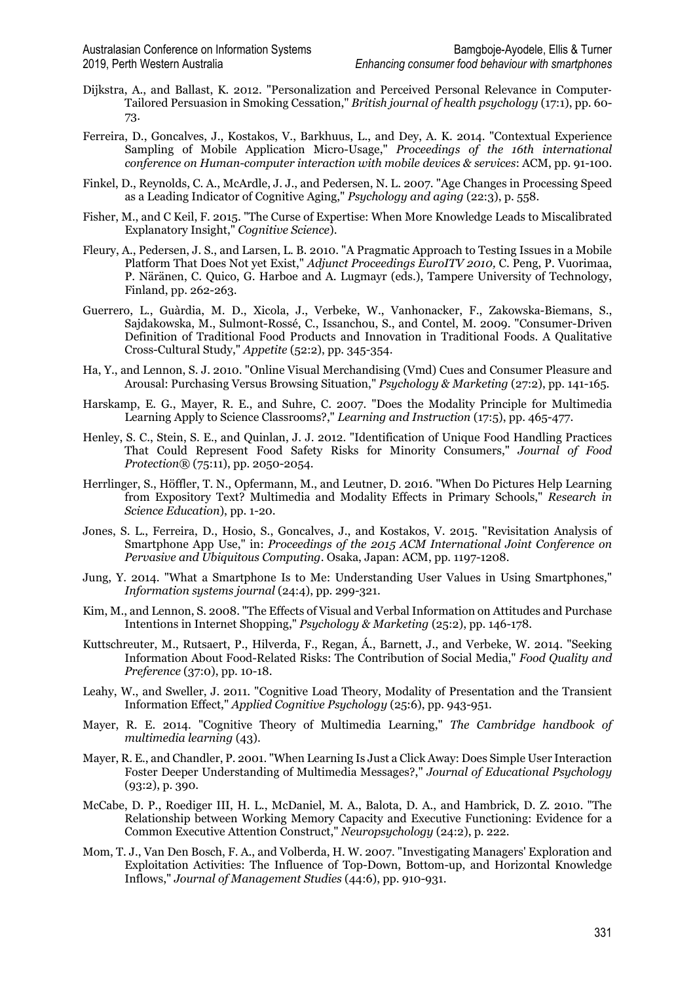- Dijkstra, A., and Ballast, K. 2012. "Personalization and Perceived Personal Relevance in Computer‐ Tailored Persuasion in Smoking Cessation," *British journal of health psychology* (17:1), pp. 60- 73.
- Ferreira, D., Goncalves, J., Kostakos, V., Barkhuus, L., and Dey, A. K. 2014. "Contextual Experience Sampling of Mobile Application Micro-Usage," *Proceedings of the 16th international conference on Human-computer interaction with mobile devices & services*: ACM, pp. 91-100.
- Finkel, D., Reynolds, C. A., McArdle, J. J., and Pedersen, N. L. 2007. "Age Changes in Processing Speed as a Leading Indicator of Cognitive Aging," *Psychology and aging* (22:3), p. 558.
- Fisher, M., and C Keil, F. 2015. "The Curse of Expertise: When More Knowledge Leads to Miscalibrated Explanatory Insight," *Cognitive Science*).
- Fleury, A., Pedersen, J. S., and Larsen, L. B. 2010. "A Pragmatic Approach to Testing Issues in a Mobile Platform That Does Not yet Exist," *Adjunct Proceedings EuroITV 2010,* C. Peng, P. Vuorimaa, P. Näränen, C. Quico, G. Harboe and A. Lugmayr (eds.), Tampere University of Technology, Finland, pp. 262-263.
- Guerrero, L., Guàrdia, M. D., Xicola, J., Verbeke, W., Vanhonacker, F., Zakowska-Biemans, S., Sajdakowska, M., Sulmont-Rossé, C., Issanchou, S., and Contel, M. 2009. "Consumer-Driven Definition of Traditional Food Products and Innovation in Traditional Foods. A Qualitative Cross-Cultural Study," *Appetite* (52:2), pp. 345-354.
- Ha, Y., and Lennon, S. J. 2010. "Online Visual Merchandising (Vmd) Cues and Consumer Pleasure and Arousal: Purchasing Versus Browsing Situation," *Psychology & Marketing* (27:2), pp. 141-165.
- Harskamp, E. G., Mayer, R. E., and Suhre, C. 2007. "Does the Modality Principle for Multimedia Learning Apply to Science Classrooms?," *Learning and Instruction* (17:5), pp. 465-477.
- Henley, S. C., Stein, S. E., and Quinlan, J. J. 2012. "Identification of Unique Food Handling Practices That Could Represent Food Safety Risks for Minority Consumers," *Journal of Food Protection®* (75:11), pp. 2050-2054.
- Herrlinger, S., Höffler, T. N., Opfermann, M., and Leutner, D. 2016. "When Do Pictures Help Learning from Expository Text? Multimedia and Modality Effects in Primary Schools," *Research in Science Education*), pp. 1-20.
- Jones, S. L., Ferreira, D., Hosio, S., Goncalves, J., and Kostakos, V. 2015. "Revisitation Analysis of Smartphone App Use," in: *Proceedings of the 2015 ACM International Joint Conference on Pervasive and Ubiquitous Computing*. Osaka, Japan: ACM, pp. 1197-1208.
- Jung, Y. 2014. "What a Smartphone Is to Me: Understanding User Values in Using Smartphones," *Information systems journal* (24:4), pp. 299-321.
- Kim, M., and Lennon, S. 2008. "The Effects of Visual and Verbal Information on Attitudes and Purchase Intentions in Internet Shopping," *Psychology & Marketing* (25:2), pp. 146-178.
- Kuttschreuter, M., Rutsaert, P., Hilverda, F., Regan, Á., Barnett, J., and Verbeke, W. 2014. "Seeking Information About Food-Related Risks: The Contribution of Social Media," *Food Quality and Preference* (37:0), pp. 10-18.
- Leahy, W., and Sweller, J. 2011. "Cognitive Load Theory, Modality of Presentation and the Transient Information Effect," *Applied Cognitive Psychology* (25:6), pp. 943-951.
- Mayer, R. E. 2014. "Cognitive Theory of Multimedia Learning," *The Cambridge handbook of multimedia learning* (43).
- Mayer, R. E., and Chandler, P. 2001. "When Learning Is Just a Click Away: Does Simple User Interaction Foster Deeper Understanding of Multimedia Messages?," *Journal of Educational Psychology* (93:2), p. 390.
- McCabe, D. P., Roediger III, H. L., McDaniel, M. A., Balota, D. A., and Hambrick, D. Z. 2010. "The Relationship between Working Memory Capacity and Executive Functioning: Evidence for a Common Executive Attention Construct," *Neuropsychology* (24:2), p. 222.
- Mom, T. J., Van Den Bosch, F. A., and Volberda, H. W. 2007. "Investigating Managers' Exploration and Exploitation Activities: The Influence of Top-Down, Bottom-up, and Horizontal Knowledge Inflows," *Journal of Management Studies* (44:6), pp. 910-931.